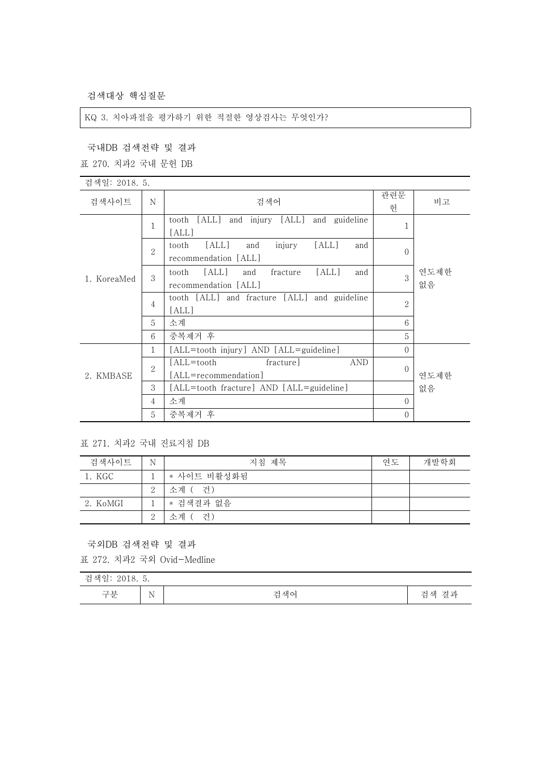검색대상 핵심질문

## KQ 3. 치아파절을 평가하기 위한 적절한 영상검사는 무엇인가?

국내DB 검색전략 및 결과

표 270. 치과2 국내 문헌 DB

| 검색일: 2018. 5. |                |                                                                           |                |            |
|---------------|----------------|---------------------------------------------------------------------------|----------------|------------|
| 검색사이트         | N              | 검색어                                                                       | 관련문<br>헌       | 비고         |
| 1. KoreaMed   | 1              | [ALL]<br>tooth<br>and injury [ALL]<br>and guideline<br>[ALL]              | 1              |            |
|               | $\overline{2}$ | injury<br>[ALL]<br>[ALL]<br>and<br>tooth<br>and<br>recommendation [ALL]   | $\theta$       |            |
|               | 3              | [ALL]<br>[ALL]<br>fracture<br>and<br>tooth<br>and<br>recommendation [ALL] | 3              | 연도제한<br>없음 |
|               | 4              | tooth [ALL] and fracture [ALL] and guideline<br>[ALL]                     | $\overline{2}$ |            |
|               | 5              | 소계                                                                        | 6              |            |
|               | 6              | 중복제거 후                                                                    | 5              |            |
| 2. KMBASE     | 1              | [ALL=tooth injury] AND [ALL=guideline]                                    | $\Omega$       |            |
|               | $\overline{2}$ | fracture]<br><b>AND</b><br>[ALL=tooth                                     | $\Omega$       |            |
|               |                | [ALL=recommendation]                                                      |                | 연도제한       |
|               | 3              | [ALL=tooth fracture] AND [ALL=guideline]                                  |                | 없음         |
|               | 4              | 소계                                                                        | $\Omega$       |            |
|               | 5              | 중복제거 후                                                                    | $\overline{0}$ |            |

표 271. 치과2 국내 진료지침 DB

| 검색사이트    | N              | 지침 제목       | 연도 | 개발학회 |
|----------|----------------|-------------|----|------|
| 1. KGC   |                | * 사이트 비활성화됨 |    |      |
|          | $\overline{2}$ | 소계 ( 건)     |    |      |
| 2. KoMGI |                | * 검색결과 없음   |    |      |
|          | $\Omega$<br>∠  | 건)<br>수계 (  |    |      |

국외DB 검색전략 및 결과

표 272. 치과2 국외 Ovid-Medline

| 검색일<br>2018. 5. |                               |     |                                       |  |  |
|-----------------|-------------------------------|-----|---------------------------------------|--|--|
| 구분              | N<br>$\overline{\phantom{a}}$ | 검색어 | 격과<br>$\rightarrow$<br>색<br>'ㄹ<br>$-$ |  |  |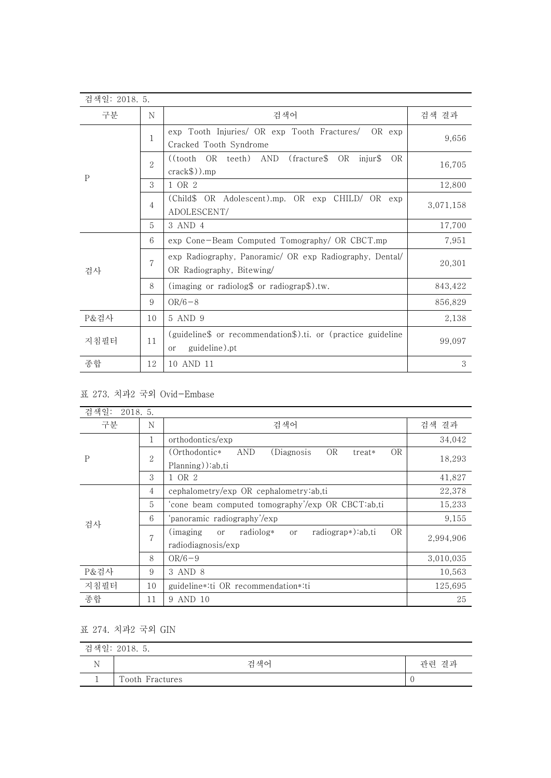| 검색일: 2018. 5. |                |                                                                                                  |           |
|---------------|----------------|--------------------------------------------------------------------------------------------------|-----------|
| 구분            | N              | 검색어                                                                                              | 검색 결과     |
| $\mathbf{P}$  | 1              | exp Tooth Injuries/ OR exp Tooth Fractures/<br>OR exp<br>Cracked Tooth Syndrome                  | 9,656     |
|               | $\overline{2}$ | $((tooth \t OR \t teeth) \t AND$<br>(fracture\$<br>OR<br>injur\$<br><b>OR</b><br>$crack\$)$ ).mp | 16,705    |
|               | 3              | 1 OR 2                                                                                           | 12,800    |
|               | $\overline{4}$ | (Child\$ OR Adolescent).mp. OR exp CHILD/ OR exp<br>ADOLESCENT/                                  | 3,071,158 |
|               | 5              | 3 AND 4                                                                                          | 17,700    |
|               | 6              | exp Cone-Beam Computed Tomography/ OR CBCT.mp                                                    | 7,951     |
| 검사            | $\overline{7}$ | exp Radiography, Panoramic/ OR exp Radiography, Dental/<br>OR Radiography, Bitewing/             | 20,301    |
|               | 8              | (imaging or radiolog\$ or radiograp\$).tw.                                                       | 843,422   |
|               | 9              | $OR/6-8$                                                                                         | 856,829   |
| P&검사          | 10             | 5 AND 9                                                                                          | 2,138     |
| 지침필터          | 11             | (guideline\$ or recommendation\$).ti. or (practice guideline<br>guideline).pt<br>or              | 99,097    |
| 종합            | 12             | 10 AND 11                                                                                        | 3         |

## 표 273. 치과2 국외 Ovid-Embase

| 검색일:<br>2018.5. |                |                                                                                 |           |
|-----------------|----------------|---------------------------------------------------------------------------------|-----------|
| 구분              | N              | 검색어                                                                             | 검색 결과     |
| $\mathbf{P}$    | 1              | orthodontics/exp                                                                | 34,042    |
|                 | $\overline{2}$ | OR<br><b>OR</b><br>(Orthodontic*)<br>AND<br>(Diagnosis<br>treat*                | 18,293    |
|                 |                | Planning)):ab,ti                                                                |           |
|                 | 3              | 1 OR 2                                                                          | 41,827    |
|                 | 4              | cephalometry/exp OR cephalometry:ab,ti                                          | 22,378    |
|                 | 5              | 'cone beam computed tomography'/exp OR CBCT:ab,ti                               | 15,233    |
| 검사              | 6              | panoramic radiography'/exp                                                      | 9,155     |
|                 | $\overline{7}$ | <b>OR</b><br>radiograp*):ab,ti<br>radiolog*<br>(imaging)<br>or<br><sub>or</sub> | 2,994,906 |
|                 |                | radiodiagnosis/exp                                                              |           |
|                 | 8              | $OR/6-9$                                                                        | 3,010,035 |
| P&검사            | 9              | 3 AND 8                                                                         | 10,563    |
| 지침필터            | 10             | guideline*:ti OR recommendation*:ti                                             | 125,695   |
| 종합              | 11             | 9 AND 10                                                                        | 25        |

## 표 274. 치과2 국외 GIN

| 검색일: 2018. 5. |                 |       |  |  |
|---------------|-----------------|-------|--|--|
|               | 검색어             | 관련 결과 |  |  |
|               | Tooth Fractures |       |  |  |